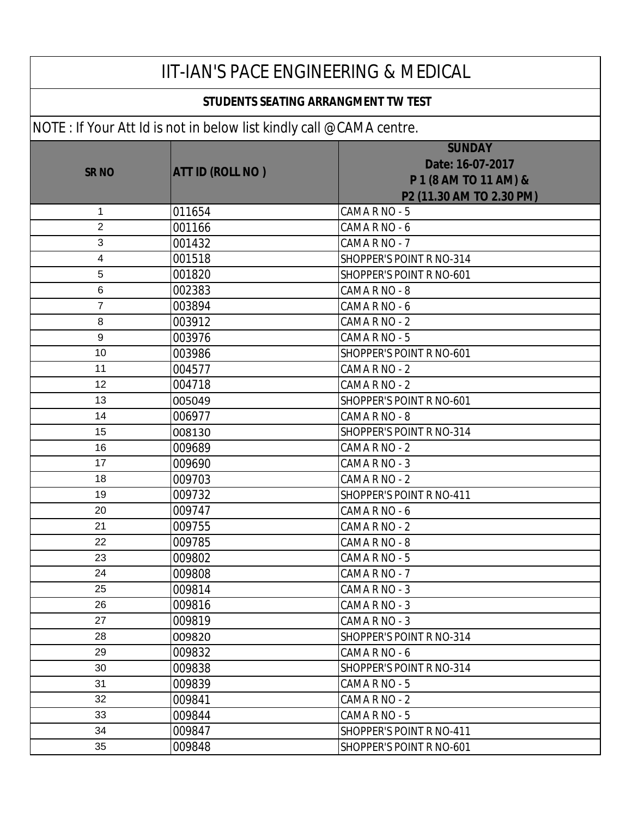| <b>IIT-IAN'S PACE ENGINEERING &amp; MEDICAL</b> |                                                                     |                                                                                        |
|-------------------------------------------------|---------------------------------------------------------------------|----------------------------------------------------------------------------------------|
| <b>STUDENTS SEATING ARRANGMENT TW TEST</b>      |                                                                     |                                                                                        |
|                                                 | NOTE: If Your Att Id is not in below list kindly call @CAMA centre. |                                                                                        |
| <b>SR NO</b>                                    | <b>ATT ID (ROLL NO)</b>                                             | <b>SUNDAY</b><br>Date: 16-07-2017<br>P 1 (8 AM TO 11 AM) &<br>P2 (11.30 AM TO 2.30 PM) |
| 1                                               | 011654                                                              | CAMA R NO - 5                                                                          |
| $\overline{2}$                                  | 001166                                                              | CAMA R NO - 6                                                                          |
| 3                                               | 001432                                                              | CAMA R NO - 7                                                                          |
| 4                                               | 001518                                                              | SHOPPER'S POINT R NO-314                                                               |
| 5                                               | 001820                                                              | SHOPPER'S POINT R NO-601                                                               |
| 6                                               | 002383                                                              | CAMA R NO - 8                                                                          |
| 7                                               | 003894                                                              | CAMA R NO - 6                                                                          |
| 8                                               | 003912                                                              | CAMA R NO - 2                                                                          |
| 9                                               | 003976                                                              | CAMA R NO - 5                                                                          |
| 10                                              | 003986                                                              | SHOPPER'S POINT R NO-601                                                               |
| 11                                              | 004577                                                              | CAMA R NO - 2                                                                          |
| 12                                              | 004718                                                              | CAMA R NO - 2                                                                          |
| 13                                              | 005049                                                              | SHOPPER'S POINT R NO-601                                                               |
| 14                                              | 006977                                                              | CAMA R NO - 8                                                                          |
| 15                                              | 008130                                                              | SHOPPER'S POINT R NO-314                                                               |
| 16                                              | 009689                                                              | CAMA R NO - 2                                                                          |
| 17                                              | 009690                                                              | CAMA R NO - 3                                                                          |
| 18                                              | 009703                                                              | CAMA R NO - 2                                                                          |
| 19                                              | 009732                                                              | SHOPPER'S POINT R NO-411                                                               |
| 20                                              | 009747                                                              | CAMA R NO - 6                                                                          |
| 21                                              | 009755                                                              | CAMA R NO - 2                                                                          |
| 22                                              | 009785                                                              | CAMA R NO - 8                                                                          |
| 23                                              | 009802                                                              | CAMA R NO - 5                                                                          |
| 24                                              | 009808                                                              | CAMA R NO - 7                                                                          |
| 25                                              | 009814                                                              | CAMA R NO - 3                                                                          |
| 26                                              | 009816                                                              | CAMA R NO - 3                                                                          |
| 27                                              | 009819                                                              | CAMA R NO - 3                                                                          |
| 28                                              | 009820                                                              | SHOPPER'S POINT R NO-314                                                               |
| 29                                              | 009832                                                              | CAMA R NO - 6                                                                          |
| 30                                              | 009838                                                              | SHOPPER'S POINT R NO-314                                                               |
| 31                                              | 009839                                                              | CAMA R NO - 5                                                                          |
| 32                                              | 009841                                                              | CAMA R NO - 2                                                                          |
| 33                                              | 009844                                                              | CAMA R NO - 5                                                                          |
| 34                                              | 009847                                                              | SHOPPER'S POINT R NO-411                                                               |
| 35                                              | 009848                                                              | SHOPPER'S POINT R NO-601                                                               |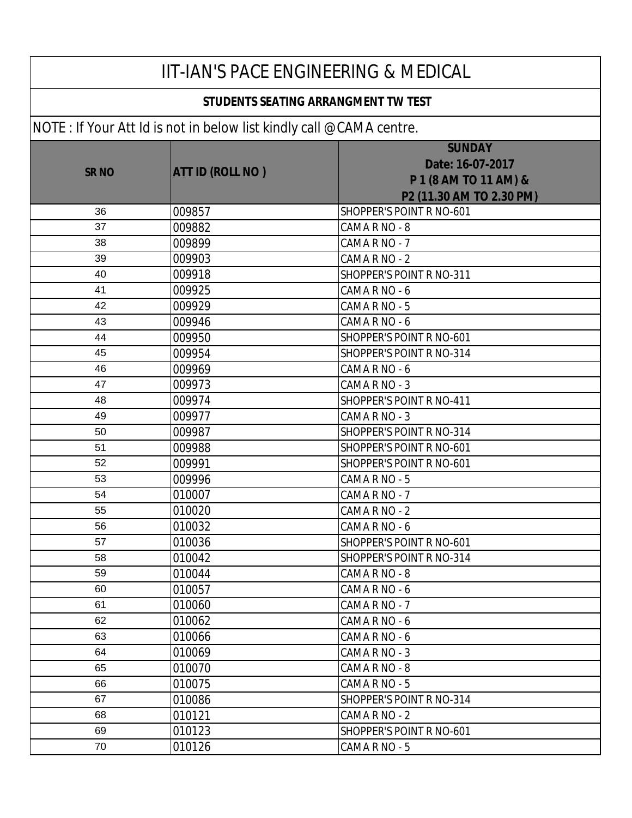### **STUDENTS SEATING ARRANGMENT TW TEST**

| <b>SRNO</b> | <b>ATT ID (ROLL NO )</b> | <b>SUNDAY</b><br>Date: 16-07-2017<br>P 1 (8 AM TO 11 AM) &<br>P2 (11.30 AM TO 2.30 PM) |
|-------------|--------------------------|----------------------------------------------------------------------------------------|
| 36          | 009857                   | SHOPPER'S POINT R NO-601                                                               |
| 37          | 009882                   | CAMA R NO - 8                                                                          |
| 38          | 009899                   | CAMA R NO - 7                                                                          |
| 39          | 009903                   | CAMA R NO - 2                                                                          |
| 40          | 009918                   | <b>SHOPPER'S POINT R NO-311</b>                                                        |
| 41          | 009925                   | CAMA R NO - 6                                                                          |
| 42          | 009929                   | CAMA R NO - 5                                                                          |
| 43          | 009946                   | CAMA R NO - 6                                                                          |
| 44          | 009950                   | SHOPPER'S POINT R NO-601                                                               |
| 45          | 009954                   | <b>SHOPPER'S POINT R NO-314</b>                                                        |
| 46          | 009969                   | CAMA R NO - 6                                                                          |
| 47          | 009973                   | CAMA R NO - 3                                                                          |
| 48          | 009974                   | SHOPPER'S POINT R NO-411                                                               |
| 49          | 009977                   | CAMA R NO - 3                                                                          |
| 50          | 009987                   | SHOPPER'S POINT R NO-314                                                               |
| 51          | 009988                   | SHOPPER'S POINT R NO-601                                                               |
| 52          | 009991                   | SHOPPER'S POINT R NO-601                                                               |
| 53          | 009996                   | CAMA R NO - 5                                                                          |
| 54          | 010007                   | CAMA R NO - 7                                                                          |
| 55          | 010020                   | CAMA R NO - 2                                                                          |
| 56          | 010032                   | CAMA R NO - 6                                                                          |
| 57          | 010036                   | SHOPPER'S POINT R NO-601                                                               |
| 58          | 010042                   | SHOPPER'S POINT R NO-314                                                               |
| 59          | 010044                   | CAMA R NO - 8                                                                          |
| 60          | 010057                   | CAMA R NO - 6                                                                          |
| 61          | 010060                   | CAMA R NO - 7                                                                          |
| 62          | 010062                   | CAMA R NO - 6                                                                          |
| 63          | 010066                   | CAMA R NO - 6                                                                          |
| 64          | 010069                   | CAMA R NO - 3                                                                          |
| 65          | 010070                   | CAMA R NO - 8                                                                          |
| 66          | 010075                   | CAMA R NO - 5                                                                          |
| 67          | 010086                   | SHOPPER'S POINT R NO-314                                                               |
| 68          | 010121                   | CAMA R NO - 2                                                                          |
| 69          | 010123                   | SHOPPER'S POINT R NO-601                                                               |
| 70          | 010126                   | CAMA R NO - 5                                                                          |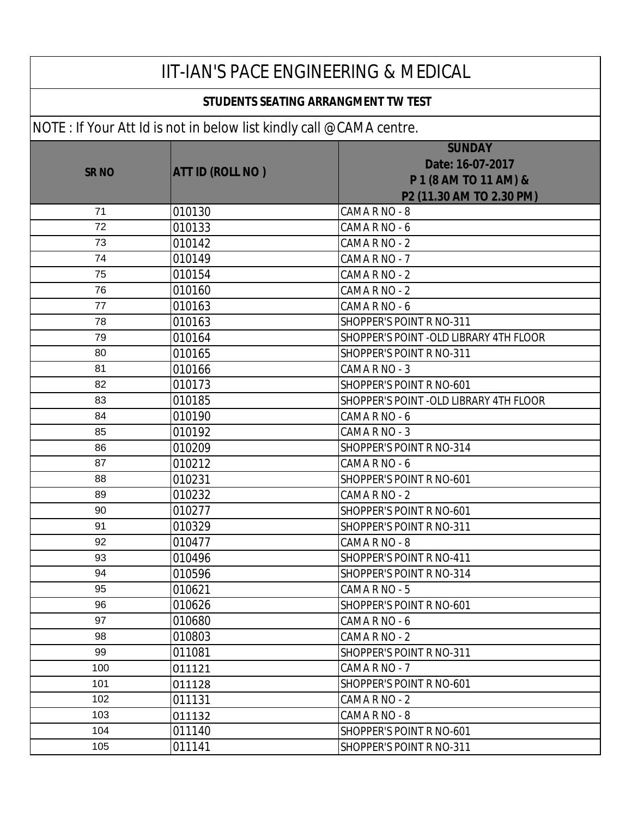### **SR NO ATT ID (ROLL NO ) SUNDAY Date: 16-07-2017 P 1 (8 AM TO 11 AM) & P2 (11.30 AM TO 2.30 PM)**  IIT-IAN'S PACE ENGINEERING & MEDICAL  **STUDENTS SEATING ARRANGMENT TW TEST** NOTE : If Your Att Id is not in below list kindly call @CAMA centre.

|     |        | P 1 (8 AM TO 11 AM) &                   |
|-----|--------|-----------------------------------------|
|     |        | P2 (11.30 AM TO 2.30 PM)                |
| 71  | 010130 | CAMA R NO - 8                           |
| 72  | 010133 | CAMA R NO - 6                           |
| 73  | 010142 | CAMA R NO - 2                           |
| 74  | 010149 | CAMA R NO - 7                           |
| 75  | 010154 | CAMA R NO - 2                           |
| 76  | 010160 | CAMA R NO - 2                           |
| 77  | 010163 | CAMA R NO - 6                           |
| 78  | 010163 | SHOPPER'S POINT R NO-311                |
| 79  | 010164 | SHOPPER'S POINT - OLD LIBRARY 4TH FLOOR |
| 80  | 010165 | SHOPPER'S POINT R NO-311                |
| 81  | 010166 | CAMA R NO - 3                           |
| 82  | 010173 | SHOPPER'S POINT R NO-601                |
| 83  | 010185 | SHOPPER'S POINT -OLD LIBRARY 4TH FLOOR  |
| 84  | 010190 | CAMA R NO - 6                           |
| 85  | 010192 | CAMA R NO - 3                           |
| 86  | 010209 | SHOPPER'S POINT R NO-314                |
| 87  | 010212 | CAMA R NO - 6                           |
| 88  | 010231 | SHOPPER'S POINT R NO-601                |
| 89  | 010232 | CAMA R NO - 2                           |
| 90  | 010277 | SHOPPER'S POINT R NO-601                |
| 91  | 010329 | SHOPPER'S POINT R NO-311                |
| 92  | 010477 | CAMA R NO - 8                           |
| 93  | 010496 | SHOPPER'S POINT R NO-411                |
| 94  | 010596 | SHOPPER'S POINT R NO-314                |
| 95  | 010621 | CAMA R NO - 5                           |
| 96  | 010626 | <b>SHOPPER'S POINT R NO-601</b>         |
| 97  | 010680 | CAMA R NO - 6                           |
| 98  | 010803 | CAMA R NO - 2                           |
| 99  | 011081 | SHOPPER'S POINT R NO-311                |
| 100 | 011121 | CAMA R NO - 7                           |
| 101 | 011128 | SHOPPER'S POINT R NO-601                |
| 102 | 011131 | CAMA R NO - 2                           |
| 103 | 011132 | CAMA R NO - 8                           |
| 104 | 011140 | SHOPPER'S POINT R NO-601                |
| 105 | 011141 | SHOPPER'S POINT R NO-311                |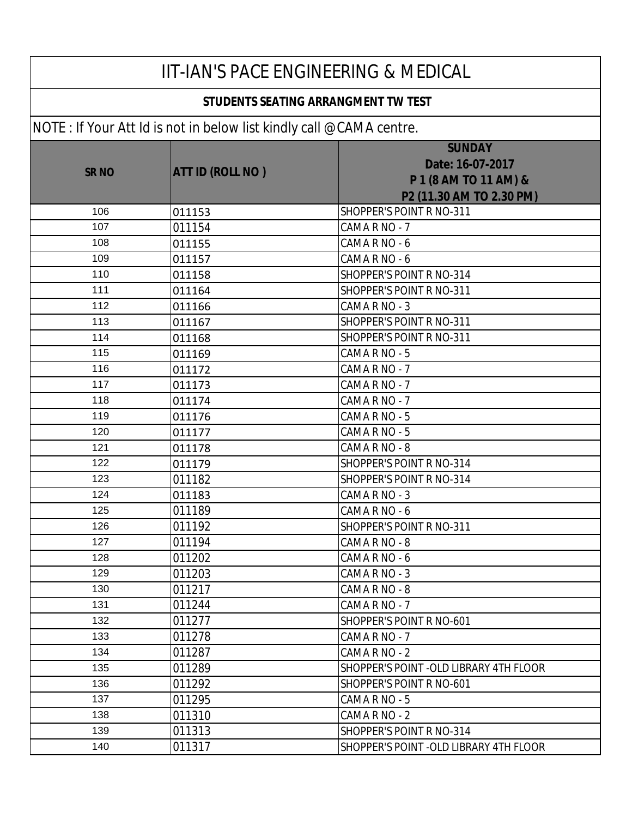#### **STUDENTS SEATING ARRANGMENT TW TEST**

| $11011.$ The contract of the following the contract $\sim 0.11$ and $\sim 0.11$ |                         |                                         |
|---------------------------------------------------------------------------------|-------------------------|-----------------------------------------|
|                                                                                 |                         | <b>SUNDAY</b><br>Date: 16-07-2017       |
| <b>SR NO</b>                                                                    | <b>ATT ID (ROLL NO)</b> | P 1 (8 AM TO 11 AM) &                   |
|                                                                                 |                         | P2 (11.30 AM TO 2.30 PM)                |
| 106                                                                             | 011153                  | SHOPPER'S POINT R NO-311                |
| 107                                                                             | 011154                  | CAMA R NO - 7                           |
| 108                                                                             | 011155                  | CAMA R NO - 6                           |
| 109                                                                             | 011157                  | CAMA R NO - 6                           |
| 110                                                                             | 011158                  | SHOPPER'S POINT R NO-314                |
| 111                                                                             | 011164                  | SHOPPER'S POINT R NO-311                |
| 112                                                                             | 011166                  | CAMA R NO - 3                           |
| 113                                                                             | 011167                  | SHOPPER'S POINT R NO-311                |
| 114                                                                             | 011168                  | SHOPPER'S POINT R NO-311                |
| 115                                                                             | 011169                  | CAMA R NO - 5                           |
| 116                                                                             | 011172                  | CAMA R NO - 7                           |
| 117                                                                             | 011173                  | CAMA R NO - 7                           |
| 118                                                                             | 011174                  | CAMA R NO - 7                           |
| 119                                                                             | 011176                  | CAMA R NO - 5                           |
| 120                                                                             | 011177                  | CAMA R NO - 5                           |
| 121                                                                             | 011178                  | CAMA R NO - 8                           |
| 122                                                                             | 011179                  | SHOPPER'S POINT R NO-314                |
| 123                                                                             | 011182                  | SHOPPER'S POINT R NO-314                |
| 124                                                                             | 011183                  | CAMA R NO - 3                           |
| 125                                                                             | 011189                  | CAMA R NO - 6                           |
| 126                                                                             | 011192                  | SHOPPER'S POINT R NO-311                |
| 127                                                                             | 011194                  | CAMA R NO - 8                           |
| 128                                                                             | 011202                  | CAMA R NO - 6                           |
| 129                                                                             | 011203                  | CAMA R NO - 3                           |
| 130                                                                             | 011217                  | CAMA R NO - 8                           |
| 131                                                                             | 011244                  | CAMA R NO - 7                           |
| 132                                                                             | 011277                  | SHOPPER'S POINT R NO-601                |
| 133                                                                             | 011278                  | CAMA R NO - 7                           |
| 134                                                                             | 011287                  | CAMA R NO - 2                           |
| 135                                                                             | 011289                  | SHOPPER'S POINT - OLD LIBRARY 4TH FLOOR |
| 136                                                                             | 011292                  | SHOPPER'S POINT R NO-601                |
| 137                                                                             | 011295                  | CAMA R NO - 5                           |
| 138                                                                             | 011310                  | CAMA R NO - 2                           |
| 139                                                                             | 011313                  | SHOPPER'S POINT R NO-314                |
| 140                                                                             | 011317                  | SHOPPER'S POINT - OLD LIBRARY 4TH FLOOR |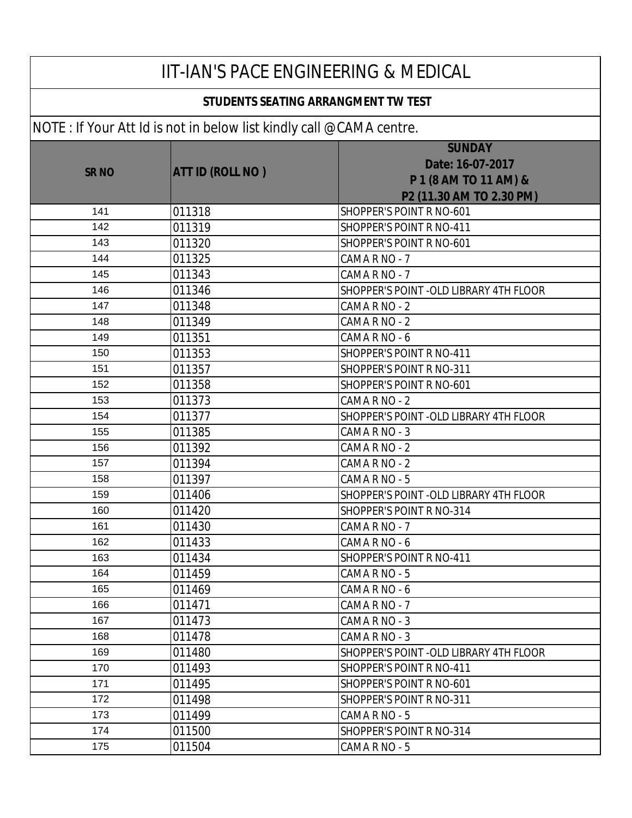#### **STUDENTS SEATING ARRANGMENT TW TEST**

| $\sim$ . The contract is not in bolow fist minary vanitor in introduction |                         |                                                                                        |
|---------------------------------------------------------------------------|-------------------------|----------------------------------------------------------------------------------------|
| <b>SR NO</b>                                                              | <b>ATT ID (ROLL NO)</b> | <b>SUNDAY</b><br>Date: 16-07-2017<br>P 1 (8 AM TO 11 AM) &<br>P2 (11.30 AM TO 2.30 PM) |
| 141                                                                       | 011318                  | SHOPPER'S POINT R NO-601                                                               |
| 142                                                                       | 011319                  | SHOPPER'S POINT R NO-411                                                               |
| 143                                                                       | 011320                  | SHOPPER'S POINT R NO-601                                                               |
| 144                                                                       | 011325                  | CAMA R NO - 7                                                                          |
| 145                                                                       | 011343                  | CAMA R NO - 7                                                                          |
| 146                                                                       | 011346                  | SHOPPER'S POINT - OLD LIBRARY 4TH FLOOR                                                |
| 147                                                                       | 011348                  | CAMA R NO - 2                                                                          |
| 148                                                                       | 011349                  | CAMA R NO - 2                                                                          |
| 149                                                                       | 011351                  | CAMA R NO - 6                                                                          |
| 150                                                                       | 011353                  | SHOPPER'S POINT R NO-411                                                               |
| 151                                                                       | 011357                  | SHOPPER'S POINT R NO-311                                                               |
| 152                                                                       | 011358                  | <b>SHOPPER'S POINT R NO-601</b>                                                        |
| 153                                                                       | 011373                  | CAMA R NO - 2                                                                          |
| 154                                                                       | 011377                  | SHOPPER'S POINT - OLD LIBRARY 4TH FLOOR                                                |
| 155                                                                       | 011385                  | CAMA R NO - 3                                                                          |
| 156                                                                       | 011392                  | CAMA R NO - 2                                                                          |
| 157                                                                       | 011394                  | CAMA R NO - 2                                                                          |
| 158                                                                       | 011397                  | CAMA R NO - 5                                                                          |
| 159                                                                       | 011406                  | SHOPPER'S POINT - OLD LIBRARY 4TH FLOOR                                                |
| 160                                                                       | 011420                  | SHOPPER'S POINT R NO-314                                                               |
| 161                                                                       | 011430                  | CAMA R NO - 7                                                                          |
| 162                                                                       | 011433                  | CAMA R NO - 6                                                                          |
| 163                                                                       | 011434                  | <b>SHOPPER'S POINT R NO-411</b>                                                        |
| 164                                                                       | 011459                  | CAMA R NO - 5                                                                          |
| 165                                                                       | 011469                  | CAMA R NO - 6                                                                          |
| 166                                                                       | 011471                  | CAMA R NO - 7                                                                          |
| 167                                                                       | 011473                  | CAMA R NO - 3                                                                          |
| 168                                                                       | 011478                  | CAMA R NO - 3                                                                          |
| 169                                                                       | 011480                  | SHOPPER'S POINT -OLD LIBRARY 4TH FLOOR                                                 |
| 170                                                                       | 011493                  | <b>SHOPPER'S POINT R NO-411</b>                                                        |
| 171                                                                       | 011495                  | SHOPPER'S POINT R NO-601                                                               |
| 172                                                                       | 011498                  | SHOPPER'S POINT R NO-311                                                               |
| 173                                                                       | 011499                  | CAMA R NO - 5                                                                          |
| 174                                                                       | 011500                  | SHOPPER'S POINT R NO-314                                                               |
| 175                                                                       | 011504                  | CAMA R NO - 5                                                                          |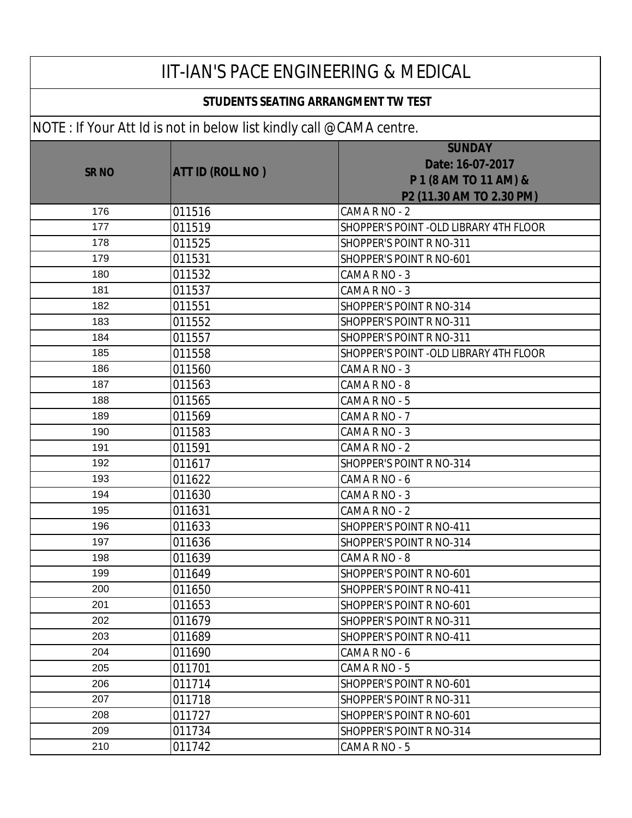| <b>IIT-IAN'S PACE ENGINEERING &amp; MEDICAL</b><br>STUDENTS SEATING ARRANGMENT TW TEST |                         |                                                                                        |
|----------------------------------------------------------------------------------------|-------------------------|----------------------------------------------------------------------------------------|
|                                                                                        |                         |                                                                                        |
| <b>SR NO</b>                                                                           | <b>ATT ID (ROLL NO)</b> | <b>SUNDAY</b><br>Date: 16-07-2017<br>P 1 (8 AM TO 11 AM) &<br>P2 (11.30 AM TO 2.30 PM) |
| 176                                                                                    | 011516                  | CAMA R NO - 2                                                                          |
| 177                                                                                    | 011519                  | SHOPPER'S POINT - OLD LIBRARY 4TH FLOOR                                                |
| 178                                                                                    | 011525                  | SHOPPER'S POINT R NO-311                                                               |
| 179                                                                                    | 011531                  | SHOPPER'S POINT R NO-601                                                               |
| 180                                                                                    | 011532                  | CAMA R NO - 3                                                                          |
| 181                                                                                    | 011537                  | CAMA R NO - 3                                                                          |
| 182                                                                                    | 011551                  | SHOPPER'S POINT R NO-314                                                               |
| 183                                                                                    | 011552                  | SHOPPER'S POINT R NO-311                                                               |
| 184                                                                                    | 011557                  | SHOPPER'S POINT R NO-311                                                               |
| 185                                                                                    | 011558                  | SHOPPER'S POINT - OLD LIBRARY 4TH FLOOR                                                |
| 186                                                                                    | 011560                  | CAMA R NO - 3                                                                          |
| 187                                                                                    | 011563                  | CAMA R NO - 8                                                                          |
| 188                                                                                    | 011565                  | CAMA R NO - 5                                                                          |
| 189                                                                                    | 011569                  | CAMA R NO - 7                                                                          |
| 190                                                                                    | 011583                  | CAMA R NO - 3                                                                          |
| 191                                                                                    | 011591                  | CAMA R NO - 2                                                                          |
| 192                                                                                    | 011617                  | SHOPPER'S POINT R NO-314                                                               |
| 193                                                                                    | 011622                  | CAMA R NO - 6                                                                          |
| 194                                                                                    | 011630                  | CAMA R NO - 3                                                                          |
| 195                                                                                    | 011631                  | CAMA R NO - 2                                                                          |
| 196                                                                                    | 011633                  | SHOPPER'S POINT R NO-411                                                               |
| 197                                                                                    | 011636                  | SHOPPER'S POINT R NO-314                                                               |
| 198                                                                                    | 011639                  | CAMA R NO - 8                                                                          |
| 199                                                                                    | 011649                  | SHOPPER'S POINT R NO-601                                                               |
| 200                                                                                    | 011650                  | SHOPPER'S POINT R NO-411                                                               |
| 201                                                                                    | 011653                  | SHOPPER'S POINT R NO-601                                                               |
| 202                                                                                    | 011679                  | SHOPPER'S POINT R NO-311                                                               |
| 203                                                                                    | 011689                  | SHOPPER'S POINT R NO-411                                                               |
| 204                                                                                    | 011690                  | CAMA R NO - 6                                                                          |
| 205                                                                                    | 011701                  | CAMA R NO - 5                                                                          |
| 206                                                                                    | 011714                  | SHOPPER'S POINT R NO-601                                                               |
| 207                                                                                    | 011718                  | SHOPPER'S POINT R NO-311                                                               |
| 208                                                                                    | 011727                  | SHOPPER'S POINT R NO-601                                                               |
| 209                                                                                    | 011734                  | SHOPPER'S POINT R NO-314                                                               |
| 210                                                                                    | 011742                  | CAMA R NO - 5                                                                          |
|                                                                                        |                         |                                                                                        |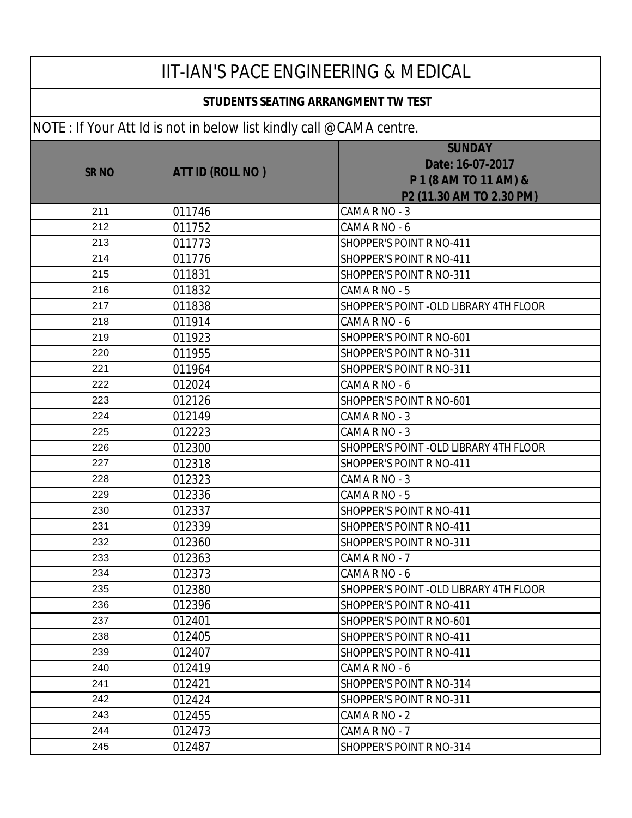| <b>IIT-IAN'S PACE ENGINEERING &amp; MEDICAL</b> |                                                                              |                                                                                        |
|-------------------------------------------------|------------------------------------------------------------------------------|----------------------------------------------------------------------------------------|
| <b>STUDENTS SEATING ARRANGMENT TW TEST</b>      |                                                                              |                                                                                        |
|                                                 | $\vert$ NOTE : If Your Att Id is not in below list kindly call @CAMA centre. |                                                                                        |
| <b>SR NO</b>                                    | <b>ATT ID (ROLL NO)</b>                                                      | <b>SUNDAY</b><br>Date: 16-07-2017<br>P 1 (8 AM TO 11 AM) &<br>P2 (11.30 AM TO 2.30 PM) |
| 211                                             | 011746                                                                       | CAMA R NO - 3                                                                          |
| 212                                             | 011752                                                                       | CAMA R NO - 6                                                                          |
| 213                                             | 011773                                                                       | SHOPPER'S POINT R NO-411                                                               |
| 214                                             | 011776                                                                       | SHOPPER'S POINT R NO-411                                                               |
| 215                                             | 011831                                                                       | SHOPPER'S POINT R NO-311                                                               |
| 216                                             | 011832                                                                       | CAMA R NO - 5                                                                          |
| 217                                             | 011838                                                                       | SHOPPER'S POINT - OLD LIBRARY 4TH FLOOR                                                |
| 218                                             | 011914                                                                       | CAMA R NO - 6                                                                          |
| 219                                             | 011923                                                                       | SHOPPER'S POINT R NO-601                                                               |
| 220                                             | 011955                                                                       | SHOPPER'S POINT R NO-311                                                               |
| 221                                             | 011964                                                                       | <b>SHOPPER'S POINT R NO-311</b>                                                        |
| 222                                             | 012024                                                                       | CAMA R NO - 6                                                                          |
| 223                                             | 012126                                                                       | SHOPPER'S POINT R NO-601                                                               |
| 224                                             | 012149                                                                       | CAMA R NO - 3                                                                          |
| 225                                             | 012223                                                                       | CAMA R NO - 3                                                                          |
| 226                                             | 012300                                                                       | SHOPPER'S POINT - OLD LIBRARY 4TH FLOOR                                                |
| 227                                             | 012318                                                                       | SHOPPER'S POINT R NO-411                                                               |
| 228                                             | 012323                                                                       | CAMA R NO - 3                                                                          |
| 229                                             | 012336                                                                       | CAMA R NO - 5                                                                          |
| 230                                             | 012337                                                                       | SHOPPER'S POINT R NO-411                                                               |
| 231                                             | 012339                                                                       | SHOPPER'S POINT R NO-411                                                               |
| 232                                             | 012360                                                                       | SHOPPER'S POINT R NO-311                                                               |
| 233                                             | 012363                                                                       | CAMA R NO - 7                                                                          |
| 234                                             | 012373                                                                       | CAMA R NO - 6                                                                          |
| 235                                             | 012380                                                                       | SHOPPER'S POINT -OLD LIBRARY 4TH FLOOR                                                 |
| 236                                             | 012396                                                                       | <b>SHOPPER'S POINT R NO-411</b>                                                        |
| 237                                             | 012401                                                                       | SHOPPER'S POINT R NO-601                                                               |
| 238                                             | 012405                                                                       | SHOPPER'S POINT R NO-411                                                               |
| 239                                             | 012407                                                                       | <b>SHOPPER'S POINT R NO-411</b>                                                        |
| 240                                             | 012419                                                                       | CAMA R NO - 6                                                                          |
| 241                                             | 012421                                                                       | SHOPPER'S POINT R NO-314                                                               |
| 242                                             | 012424                                                                       | SHOPPER'S POINT R NO-311                                                               |
| 243                                             | 012455                                                                       | CAMA R NO - 2                                                                          |
| 244                                             | 012473                                                                       | CAMA R NO - 7                                                                          |
| 245                                             | 012487                                                                       | SHOPPER'S POINT R NO-314                                                               |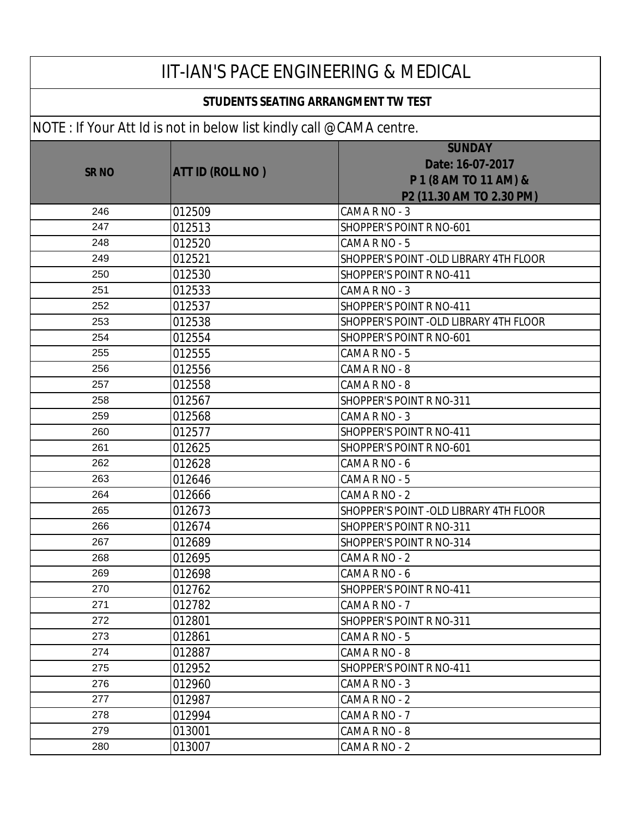| <b>IIT-IAN'S PACE ENGINEERING &amp; MEDICAL</b> |                                                                     |                                                                                        |  |
|-------------------------------------------------|---------------------------------------------------------------------|----------------------------------------------------------------------------------------|--|
| STUDENTS SEATING ARRANGMENT TW TEST             |                                                                     |                                                                                        |  |
|                                                 | NOTE: If Your Att Id is not in below list kindly call @CAMA centre. |                                                                                        |  |
| <b>SR NO</b>                                    | <b>ATT ID (ROLL NO)</b>                                             | <b>SUNDAY</b><br>Date: 16-07-2017<br>P 1 (8 AM TO 11 AM) &<br>P2 (11.30 AM TO 2.30 PM) |  |
| 246                                             | 012509                                                              | CAMA R NO - 3                                                                          |  |
| 247                                             | 012513                                                              | SHOPPER'S POINT R NO-601                                                               |  |
| 248                                             | 012520                                                              | CAMA R NO - 5                                                                          |  |
| 249                                             | 012521                                                              | SHOPPER'S POINT - OLD LIBRARY 4TH FLOOR                                                |  |
| 250                                             | 012530                                                              | <b>SHOPPER'S POINT R NO-411</b>                                                        |  |
| 251                                             | 012533                                                              | CAMA R NO - 3                                                                          |  |
| 252                                             | 012537                                                              | SHOPPER'S POINT R NO-411                                                               |  |
| 253                                             | 012538                                                              | SHOPPER'S POINT - OLD LIBRARY 4TH FLOOR                                                |  |
| 254                                             | 012554                                                              | SHOPPER'S POINT R NO-601                                                               |  |
| 255                                             | 012555                                                              | CAMA R NO - 5                                                                          |  |
| 256                                             | 012556                                                              | CAMA R NO - 8                                                                          |  |
| 257                                             | 012558                                                              | CAMA R NO - 8                                                                          |  |
| 258                                             | 012567                                                              | SHOPPER'S POINT R NO-311                                                               |  |
| 259                                             | 012568                                                              | CAMA R NO - 3                                                                          |  |
| 260                                             | 012577                                                              | <b>SHOPPER'S POINT R NO-411</b>                                                        |  |
| 261                                             | 012625                                                              | SHOPPER'S POINT R NO-601                                                               |  |
| 262                                             | 012628                                                              | CAMA R NO - 6                                                                          |  |
| 263                                             | 012646                                                              | CAMA R NO - 5                                                                          |  |
| 264                                             | 012666                                                              | CAMA R NO - 2                                                                          |  |
| 265                                             | 012673                                                              | SHOPPER'S POINT - OLD LIBRARY 4TH FLOOR                                                |  |
| 266                                             | 012674                                                              | <b>SHOPPER'S POINT R NO-311</b>                                                        |  |
| 267                                             | 012689                                                              | SHOPPER'S POINT R NO-314                                                               |  |
| 268                                             | 012695                                                              | CAMA R NO - 2                                                                          |  |
| 269                                             | 012698                                                              | CAMA R NO - 6                                                                          |  |
| 270                                             | 012762                                                              | <b>SHOPPER'S POINT R NO-411</b>                                                        |  |
| 271                                             | 012782                                                              | CAMA R NO - 7                                                                          |  |
| 272                                             | 012801                                                              | SHOPPER'S POINT R NO-311                                                               |  |
| 273                                             | 012861                                                              | CAMA R NO - 5                                                                          |  |
| 274                                             | 012887                                                              | CAMA R NO - 8                                                                          |  |
| 275                                             | 012952                                                              | SHOPPER'S POINT R NO-411                                                               |  |
| 276                                             | 012960                                                              | CAMA R NO - 3                                                                          |  |
| 277                                             | 012987                                                              | CAMA R NO - 2                                                                          |  |
| 278                                             | 012994                                                              | CAMA R NO - 7                                                                          |  |
| 279                                             | 013001                                                              | CAMA R NO - 8                                                                          |  |
| 280                                             | 013007                                                              | CAMA R NO - 2                                                                          |  |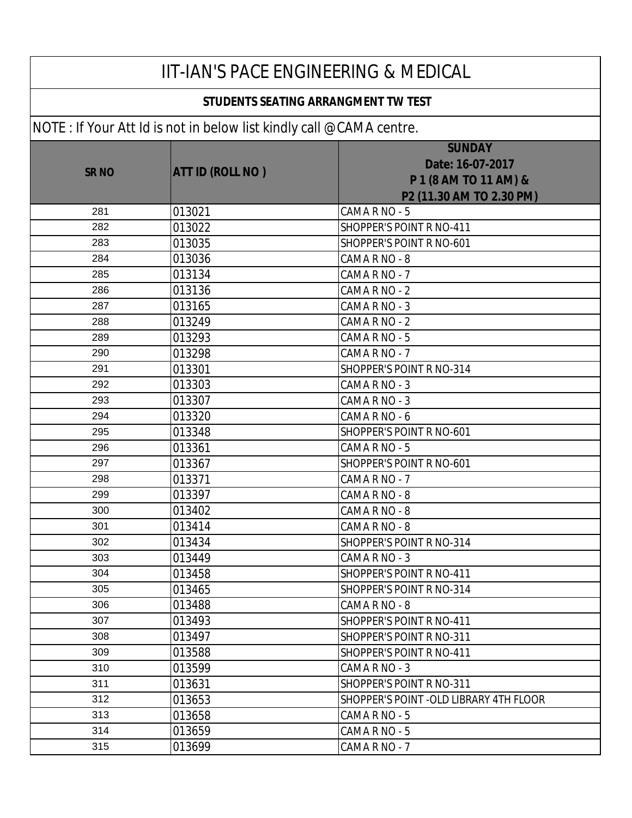| IIT-IAN'S PACE ENGINEERING & MEDICAL       |                                                                     |                                                                                        |
|--------------------------------------------|---------------------------------------------------------------------|----------------------------------------------------------------------------------------|
| <b>STUDENTS SEATING ARRANGMENT TW TEST</b> |                                                                     |                                                                                        |
|                                            | NOTE: If Your Att Id is not in below list kindly call @CAMA centre. |                                                                                        |
| <b>SR NO</b>                               | <b>ATT ID (ROLL NO)</b>                                             | <b>SUNDAY</b><br>Date: 16-07-2017<br>P 1 (8 AM TO 11 AM) &<br>P2 (11.30 AM TO 2.30 PM) |
| 281                                        | 013021                                                              | CAMA R NO - 5                                                                          |
| 282                                        | 013022                                                              | SHOPPER'S POINT R NO-411                                                               |
| 283                                        | 013035                                                              | SHOPPER'S POINT R NO-601                                                               |
| 284                                        | 013036                                                              | CAMA R NO - 8                                                                          |
| 285                                        | 013134                                                              | CAMA R NO - 7                                                                          |
| 286                                        | 013136                                                              | CAMA R NO - 2                                                                          |
| 287                                        | 013165                                                              | CAMA R NO - 3                                                                          |
| 288                                        | 013249                                                              | CAMA R NO - 2                                                                          |
| 289                                        | 013293                                                              | CAMA R NO - 5                                                                          |
| 290                                        | 013298                                                              | CAMA R NO - 7                                                                          |
| 291                                        | 013301                                                              | SHOPPER'S POINT R NO-314                                                               |
| 292                                        | 013303                                                              | CAMA R NO - 3                                                                          |
| 293                                        | 013307                                                              | CAMA R NO - 3                                                                          |
| 294                                        | 013320                                                              | CAMA R NO - 6                                                                          |
| 295                                        | 013348                                                              | SHOPPER'S POINT R NO-601                                                               |
| 296                                        | 013361                                                              | CAMA R NO - 5                                                                          |
| 297                                        | 013367                                                              | SHOPPER'S POINT R NO-601                                                               |
| 298                                        | 013371                                                              | CAMA R NO - 7                                                                          |
| 299                                        | 013397                                                              | CAMA R NO - 8                                                                          |
| 300                                        | 013402                                                              | CAMA R NO - 8                                                                          |
| 301                                        | 013414                                                              | CAMA R NO - 8                                                                          |
| 302                                        | 013434                                                              | SHOPPER'S POINT R NO-314                                                               |
| 303                                        | 013449                                                              | CAMA R NO - 3                                                                          |
| 304                                        | 013458                                                              | SHOPPER'S POINT R NO-411                                                               |
| 305                                        | 013465                                                              | SHOPPER'S POINT R NO-314                                                               |
| 306                                        | 013488                                                              | CAMA R NO - 8                                                                          |
| 307                                        | 013493                                                              | SHOPPER'S POINT R NO-411                                                               |
| 308                                        | 013497                                                              | SHOPPER'S POINT R NO-311                                                               |
| 309                                        | 013588                                                              | SHOPPER'S POINT R NO-411                                                               |
| 310                                        | 013599                                                              | CAMA R NO - 3                                                                          |
| 311                                        | 013631                                                              | SHOPPER'S POINT R NO-311                                                               |
| 312                                        | 013653                                                              | SHOPPER'S POINT - OLD LIBRARY 4TH FLOOR                                                |
| 313                                        | 013658                                                              | CAMA R NO - 5                                                                          |
| 314                                        | 013659                                                              | CAMA R NO - 5                                                                          |
| 315                                        | 013699                                                              | CAMA R NO - 7                                                                          |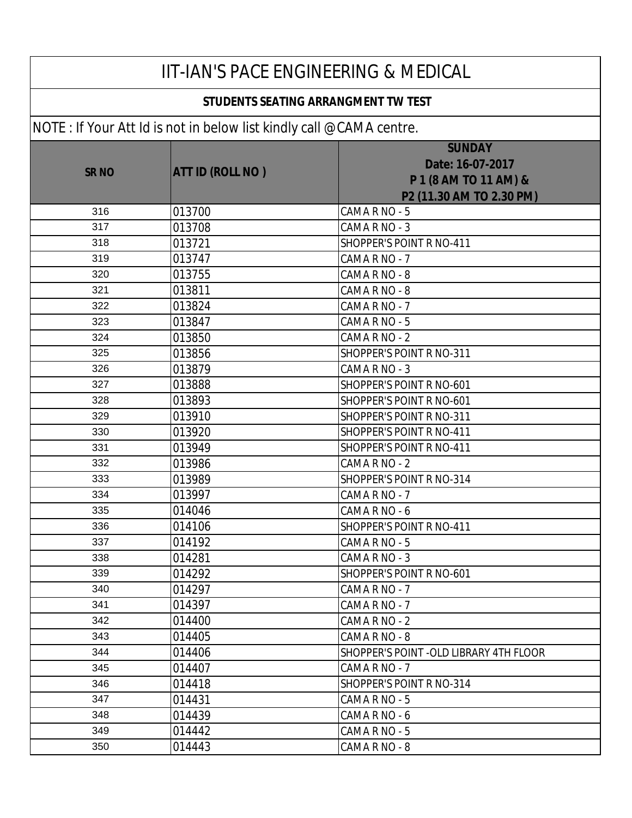| IIT-IAN'S PACE ENGINEERING & MEDICAL       |                                                                              |                                                                                        |
|--------------------------------------------|------------------------------------------------------------------------------|----------------------------------------------------------------------------------------|
| <b>STUDENTS SEATING ARRANGMENT TW TEST</b> |                                                                              |                                                                                        |
|                                            | $\vert$ NOTE : If Your Att Id is not in below list kindly call @CAMA centre. |                                                                                        |
| <b>SRNO</b>                                | <b>ATT ID (ROLL NO)</b>                                                      | <b>SUNDAY</b><br>Date: 16-07-2017<br>P 1 (8 AM TO 11 AM) &<br>P2 (11.30 AM TO 2.30 PM) |
| 316                                        | 013700                                                                       | CAMA R NO - 5                                                                          |
| 317                                        | 013708                                                                       | CAMA R NO - 3                                                                          |
| 318                                        | 013721                                                                       | SHOPPER'S POINT R NO-411                                                               |
| 319                                        | 013747                                                                       | CAMA R NO - 7                                                                          |
| 320                                        | 013755                                                                       | CAMA R NO - 8                                                                          |
| 321                                        | 013811                                                                       | CAMA R NO - 8                                                                          |
| 322                                        | 013824                                                                       | CAMA R NO - 7                                                                          |
| 323                                        | 013847                                                                       | CAMA R NO - 5                                                                          |
| 324                                        | 013850                                                                       | CAMA R NO - 2                                                                          |
| 325                                        | 013856                                                                       | SHOPPER'S POINT R NO-311                                                               |
| 326                                        | 013879                                                                       | CAMA R NO - 3                                                                          |
| 327                                        | 013888                                                                       | SHOPPER'S POINT R NO-601                                                               |
| 328                                        | 013893                                                                       | SHOPPER'S POINT R NO-601                                                               |
| 329                                        | 013910                                                                       | SHOPPER'S POINT R NO-311                                                               |
| 330                                        | 013920                                                                       | SHOPPER'S POINT R NO-411                                                               |
| 331                                        | 013949                                                                       | SHOPPER'S POINT R NO-411                                                               |
| 332                                        | 013986                                                                       | CAMA R NO - 2                                                                          |
| 333                                        | 013989                                                                       | SHOPPER'S POINT R NO-314                                                               |
| 334                                        | 013997                                                                       | CAMA R NO - 7                                                                          |
| 335                                        | 014046                                                                       | CAMA R NO - 6                                                                          |
| 336                                        | 014106                                                                       | SHOPPER'S POINT R NO-411                                                               |
| 337                                        | 014192                                                                       | CAMA R NO - 5                                                                          |
| 338                                        | 014281                                                                       | CAMA R NO - 3                                                                          |
| 339                                        | 014292                                                                       | SHOPPER'S POINT R NO-601                                                               |
| 340                                        | 014297                                                                       | CAMA R NO - 7                                                                          |
| 341                                        | 014397                                                                       | CAMA R NO - 7                                                                          |
| 342                                        | 014400                                                                       | CAMA R NO - 2                                                                          |
| 343                                        | 014405                                                                       | CAMA R NO - 8                                                                          |
| 344                                        | 014406                                                                       | SHOPPER'S POINT - OLD LIBRARY 4TH FLOOR                                                |
| 345                                        | 014407                                                                       | CAMA R NO - 7                                                                          |
| 346                                        | 014418                                                                       | SHOPPER'S POINT R NO-314                                                               |
| 347                                        | 014431                                                                       | CAMA R NO - 5                                                                          |
| 348                                        | 014439                                                                       | CAMA R NO - 6                                                                          |
| 349                                        | 014442                                                                       | CAMA R NO - 5                                                                          |
| 350                                        | 014443                                                                       | CAMA R NO - 8                                                                          |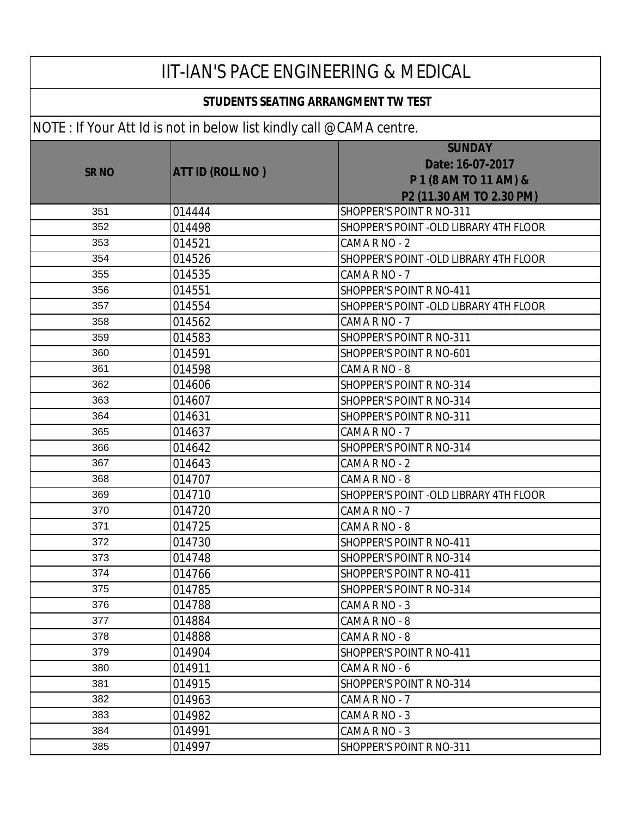### **STUDENTS SEATING ARRANGMENT TW TEST**

|             |                         | <b>SUNDAY</b>                           |
|-------------|-------------------------|-----------------------------------------|
|             |                         | Date: 16-07-2017                        |
| <b>SRNO</b> | <b>ATT ID (ROLL NO)</b> | P 1 (8 AM TO 11 AM) &                   |
|             |                         | P2 (11.30 AM TO 2.30 PM)                |
| 351         | 014444                  | SHOPPER'S POINT R NO-311                |
| 352         | 014498                  | SHOPPER'S POINT -OLD LIBRARY 4TH FLOOR  |
| 353         | 014521                  | CAMA R NO - 2                           |
| 354         |                         |                                         |
| 355         | 014526                  | SHOPPER'S POINT -OLD LIBRARY 4TH FLOOR  |
|             | 014535                  | CAMA R NO - 7                           |
| 356         | 014551                  | SHOPPER'S POINT R NO-411                |
| 357         | 014554                  | SHOPPER'S POINT - OLD LIBRARY 4TH FLOOR |
| 358         | 014562                  | CAMA R NO - 7                           |
| 359         | 014583                  | <b>SHOPPER'S POINT R NO-311</b>         |
| 360         | 014591                  | SHOPPER'S POINT R NO-601                |
| 361         | 014598                  | CAMA R NO - 8                           |
| 362         | 014606                  | SHOPPER'S POINT R NO-314                |
| 363         | 014607                  | SHOPPER'S POINT R NO-314                |
| 364         | 014631                  | SHOPPER'S POINT R NO-311                |
| 365         | 014637                  | CAMA R NO - 7                           |
| 366         | 014642                  | SHOPPER'S POINT R NO-314                |
| 367         | 014643                  | CAMA R NO - 2                           |
| 368         | 014707                  | CAMA R NO - 8                           |
| 369         | 014710                  | SHOPPER'S POINT - OLD LIBRARY 4TH FLOOR |
| 370         | 014720                  | CAMA R NO - 7                           |
| 371         | 014725                  | CAMA R NO - 8                           |
| 372         | 014730                  | SHOPPER'S POINT R NO-411                |
| 373         | 014748                  | SHOPPER'S POINT R NO-314                |
| 374         | 014766                  | SHOPPER'S POINT R NO-411                |
| 375         | 014785                  | SHOPPER'S POINT R NO-314                |
| 376         | 014788                  | CAMA R NO - 3                           |
| 377         | 014884                  | CAMA R NO - 8                           |
| 378         | 014888                  | CAMA R NO - 8                           |
| 379         | 014904                  | SHOPPER'S POINT R NO-411                |
| 380         | 014911                  | CAMA R NO - 6                           |
| 381         | 014915                  | SHOPPER'S POINT R NO-314                |
| 382         | 014963                  | CAMA R NO - 7                           |
| 383         | 014982                  | CAMA R NO - 3                           |
| 384         | 014991                  | CAMA R NO - 3                           |
| 385         | 014997                  | SHOPPER'S POINT R NO-311                |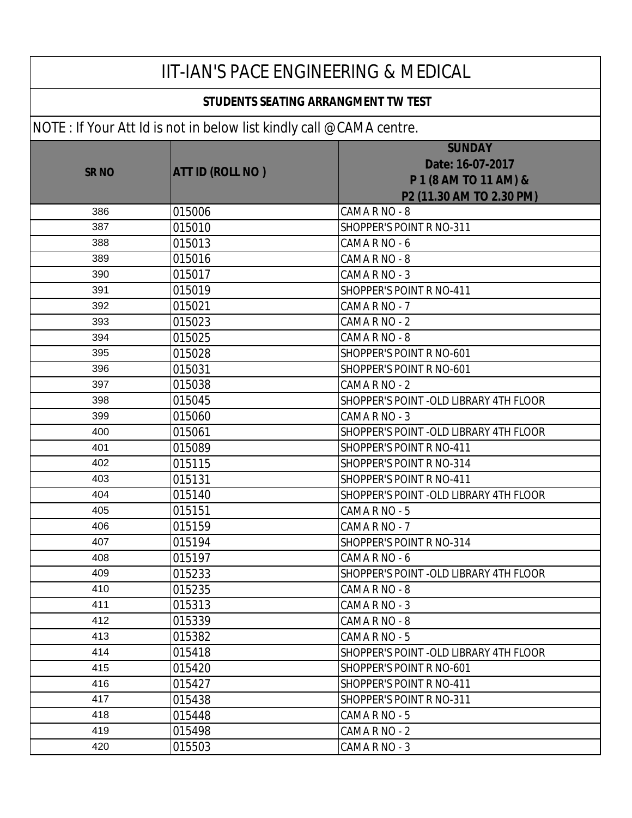| <b>IIT-IAN'S PACE ENGINEERING &amp; MEDICAL</b> |                                                                      |                                                                                        |
|-------------------------------------------------|----------------------------------------------------------------------|----------------------------------------------------------------------------------------|
| <b>STUDENTS SEATING ARRANGMENT TW TEST</b>      |                                                                      |                                                                                        |
|                                                 | NOTE : If Your Att Id is not in below list kindly call @CAMA centre. |                                                                                        |
| <b>SR NO</b>                                    | <b>ATT ID (ROLL NO )</b>                                             | <b>SUNDAY</b><br>Date: 16-07-2017<br>P 1 (8 AM TO 11 AM) &<br>P2 (11.30 AM TO 2.30 PM) |
| 386                                             | 015006                                                               | CAMA R NO - 8                                                                          |
| 387                                             | 015010                                                               | SHOPPER'S POINT R NO-311                                                               |
| 388                                             | 015013                                                               | CAMA R NO - 6                                                                          |
| 389                                             | 015016                                                               | CAMA R NO - 8                                                                          |
| 390                                             | 015017                                                               | CAMA R NO - 3                                                                          |
| 391                                             | 015019                                                               | <b>SHOPPER'S POINT R NO-411</b>                                                        |
| 392                                             | 015021                                                               | CAMA R NO - 7                                                                          |
| 393                                             | 015023                                                               | CAMA R NO - 2                                                                          |
| 394                                             | 015025                                                               | CAMA R NO - 8                                                                          |
| 395                                             | 015028                                                               | SHOPPER'S POINT R NO-601                                                               |
| 396                                             | 015031                                                               | SHOPPER'S POINT R NO-601                                                               |
| 397                                             | 015038                                                               | CAMA R NO - 2                                                                          |
| 398                                             | 015045                                                               | SHOPPER'S POINT - OLD LIBRARY 4TH FLOOR                                                |
| 399                                             | 015060                                                               | CAMA R NO - 3                                                                          |
| 400                                             | 015061                                                               | SHOPPER'S POINT - OLD LIBRARY 4TH FLOOR                                                |
| 401                                             | 015089                                                               | <b>SHOPPER'S POINT R NO-411</b>                                                        |
| 402                                             | 015115                                                               | SHOPPER'S POINT R NO-314                                                               |
| 403                                             | 015131                                                               | SHOPPER'S POINT R NO-411                                                               |
| 404                                             | 015140                                                               | SHOPPER'S POINT - OLD LIBRARY 4TH FLOOR                                                |
| 405                                             | 015151                                                               | CAMA R NO - 5                                                                          |
| 406                                             | 015159                                                               | CAMA R NO - 7                                                                          |
| 407                                             | 015194                                                               | SHOPPER'S POINT R NO-314                                                               |
| 408                                             | 015197                                                               | CAMA R NO - 6                                                                          |
| 409                                             | 015233                                                               | SHOPPER'S POINT - OLD LIBRARY 4TH FLOOR                                                |
| 410                                             | 015235                                                               | CAMA R NO - 8                                                                          |
| 411                                             | 015313                                                               | CAMA R NO - 3                                                                          |
| 412                                             | 015339                                                               | CAMA R NO - 8                                                                          |
| 413                                             | 015382                                                               | CAMA R NO - 5                                                                          |
| 414                                             | 015418                                                               | SHOPPER'S POINT - OLD LIBRARY 4TH FLOOR                                                |
| 415                                             | 015420                                                               | SHOPPER'S POINT R NO-601                                                               |
| 416                                             | 015427                                                               | SHOPPER'S POINT R NO-411                                                               |
| 417                                             | 015438                                                               | SHOPPER'S POINT R NO-311                                                               |
| 418                                             | 015448                                                               | CAMA R NO - 5                                                                          |
| 419                                             | 015498                                                               | CAMA R NO - 2                                                                          |
| 420                                             | 015503                                                               | CAMA R NO - 3                                                                          |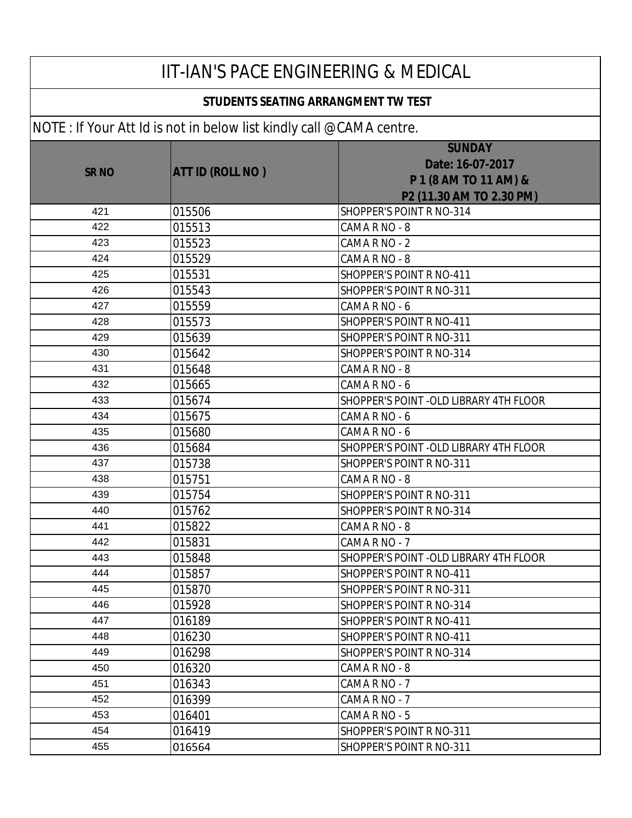#### **STUDENTS SEATING ARRANGMENT TW TEST**

|             | $\frac{1}{2}$ . The state is the contract of the state $\frac{1}{2}$ can be contracted in |                                                                                        |
|-------------|-------------------------------------------------------------------------------------------|----------------------------------------------------------------------------------------|
| <b>SRNO</b> | <b>ATT ID (ROLL NO)</b>                                                                   | <b>SUNDAY</b><br>Date: 16-07-2017<br>P 1 (8 AM TO 11 AM) &<br>P2 (11.30 AM TO 2.30 PM) |
| 421         | 015506                                                                                    | SHOPPER'S POINT R NO-314                                                               |
| 422         | 015513                                                                                    | CAMA R NO - 8                                                                          |
| 423         | 015523                                                                                    | CAMA R NO - 2                                                                          |
| 424         | 015529                                                                                    | CAMA R NO - 8                                                                          |
| 425         | 015531                                                                                    | SHOPPER'S POINT R NO-411                                                               |
| 426         | 015543                                                                                    | SHOPPER'S POINT R NO-311                                                               |
| 427         | 015559                                                                                    | CAMA R NO - 6                                                                          |
| 428         | 015573                                                                                    | SHOPPER'S POINT R NO-411                                                               |
| 429         | 015639                                                                                    | SHOPPER'S POINT R NO-311                                                               |
| 430         | 015642                                                                                    | SHOPPER'S POINT R NO-314                                                               |
| 431         | 015648                                                                                    | CAMA R NO - 8                                                                          |
| 432         | 015665                                                                                    | CAMA R NO - 6                                                                          |
| 433         | 015674                                                                                    | SHOPPER'S POINT - OLD LIBRARY 4TH FLOOR                                                |
| 434         | 015675                                                                                    | CAMA R NO - 6                                                                          |
| 435         | 015680                                                                                    | CAMA R NO - 6                                                                          |
| 436         | 015684                                                                                    | SHOPPER'S POINT - OLD LIBRARY 4TH FLOOR                                                |
| 437         | 015738                                                                                    | SHOPPER'S POINT R NO-311                                                               |
| 438         | 015751                                                                                    | CAMA R NO - 8                                                                          |
| 439         | 015754                                                                                    | SHOPPER'S POINT R NO-311                                                               |
| 440         | 015762                                                                                    | SHOPPER'S POINT R NO-314                                                               |
| 441         | 015822                                                                                    | CAMA R NO - 8                                                                          |
| 442         | 015831                                                                                    | CAMA R NO - 7                                                                          |
| 443         | 015848                                                                                    | SHOPPER'S POINT - OLD LIBRARY 4TH FLOOR                                                |
| 444         | 015857                                                                                    | SHOPPER'S POINT R NO-411                                                               |
| 445         | 015870                                                                                    | <b>SHOPPER'S POINT R NO-311</b>                                                        |
| 446         | 015928                                                                                    | SHOPPER'S POINT R NO-314                                                               |
| 447         | 016189                                                                                    | SHOPPER'S POINT R NO-411                                                               |
| 448         | 016230                                                                                    | SHOPPER'S POINT R NO-411                                                               |
| 449         | 016298                                                                                    | SHOPPER'S POINT R NO-314                                                               |
| 450         | 016320                                                                                    | CAMA R NO - 8                                                                          |
| 451         | 016343                                                                                    | CAMA R NO - 7                                                                          |
| 452         | 016399                                                                                    | CAMA R NO - 7                                                                          |
| 453         | 016401                                                                                    | CAMA R NO - 5                                                                          |
| 454         | 016419                                                                                    | SHOPPER'S POINT R NO-311                                                               |
| 455         | 016564                                                                                    | SHOPPER'S POINT R NO-311                                                               |